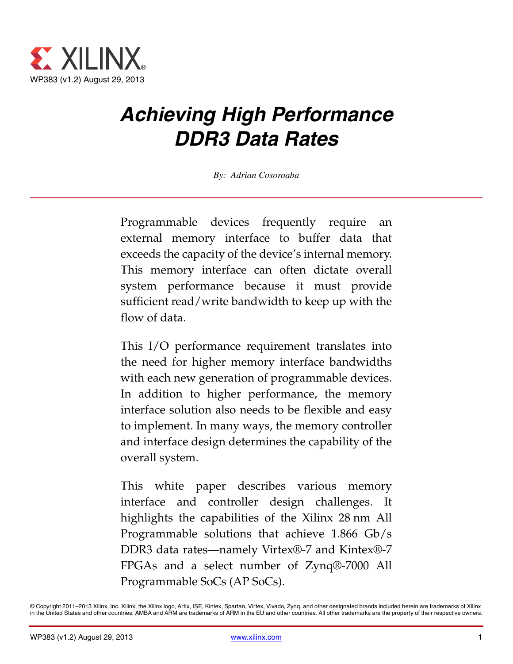

# *Achieving High Performance DDR3 Data Rates*

*By: Adrian Cosoroaba*

Programmable devices frequently require an external memory interface to buffer data that exceeds the capacity of the device's internal memory. This memory interface can often dictate overall system performance because it must provide sufficient read/write bandwidth to keep up with the flow of data.

This I/O performance requirement translates into the need for higher memory interface bandwidths with each new generation of programmable devices. In addition to higher performance, the memory interface solution also needs to be flexible and easy to implement. In many ways, the memory controller and interface design determines the capability of the overall system.

This white paper describes various memory interface and controller design challenges. It highlights the capabilities of the Xilinx 28 nm All Programmable solutions that achieve 1.866 Gb/s DDR3 data rates—namely Virtex®-7 and Kintex®-7 FPGAs and a select number of Zynq®-7000 All Programmable SoCs (AP SoCs).

<sup>©</sup> Copyright 2011–2013 Xilinx, Inc. Xilinx, the Xilinx logo, Artix, ISE, Kintex, Spartan, Virtex, Vivado, Zynq, and other designated brands included herein are trademarks of Xilinx in the United States and other countries. AMBA and ARM are trademarks of ARM in the EU and other countries. All other trademarks are the property of their respective owners.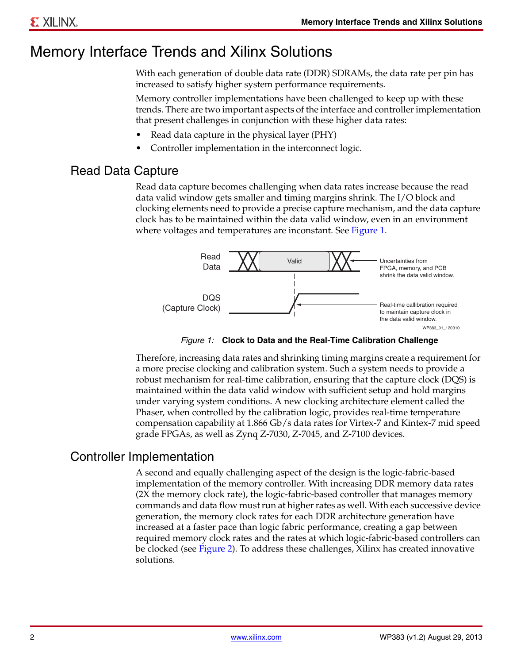## Memory Interface Trends and Xilinx Solutions

With each generation of double data rate (DDR) SDRAMs, the data rate per pin has increased to satisfy higher system performance requirements.

Memory controller implementations have been challenged to keep up with these trends. There are two important aspects of the interface and controller implementation that present challenges in conjunction with these higher data rates:

- Read data capture in the physical layer (PHY)
- Controller implementation in the interconnect logic.

#### <span id="page-1-1"></span>Read Data Capture

Read data capture becomes challenging when data rates increase because the read data valid window gets smaller and timing margins shrink. The I/O block and clocking elements need to provide a precise capture mechanism, and the data capture clock has to be maintained within the data valid window, even in an environment where voltages and temperatures are inconstant. See [Figure 1](#page-1-0).

<span id="page-1-0"></span>

*Figure 1:* **Clock to Data and the Real-Time Calibration Challenge**

Therefore, increasing data rates and shrinking timing margins create a requirement for a more precise clocking and calibration system. Such a system needs to provide a robust mechanism for real-time calibration, ensuring that the capture clock (DQS) is maintained within the data valid window with sufficient setup and hold margins under varying system conditions. A new clocking architecture element called the Phaser, when controlled by the calibration logic, provides real-time temperature compensation capability at 1.866 Gb/s data rates for Virtex-7 and Kintex-7 mid speed grade FPGAs, as well as Zynq Z-7030, Z-7045, and Z-7100 devices.

#### Controller Implementation

A second and equally challenging aspect of the design is the logic-fabric-based implementation of the memory controller. With increasing DDR memory data rates (2X the memory clock rate), the logic-fabric-based controller that manages memory commands and data flow must run at higher rates as well. With each successive device generation, the memory clock rates for each DDR architecture generation have increased at a faster pace than logic fabric performance, creating a gap between required memory clock rates and the rates at which logic-fabric-based controllers can be clocked (see [Figure 2](#page-2-0)). To address these challenges, Xilinx has created innovative solutions.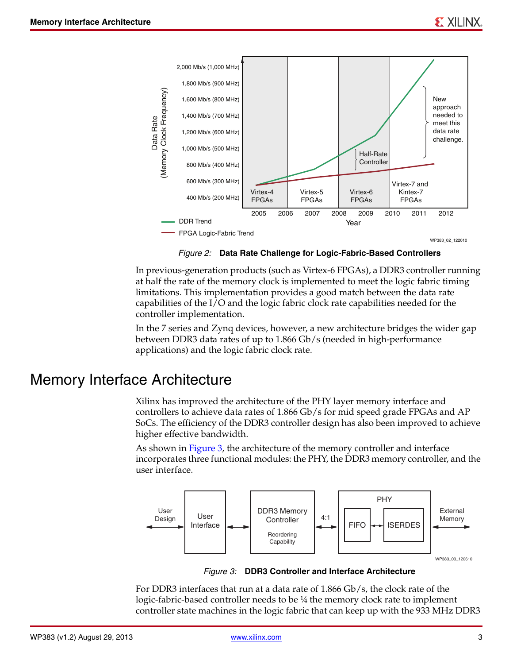<span id="page-2-0"></span>

*Figure 2:* **Data Rate Challenge for Logic-Fabric-Based Controllers**

In previous-generation products (such as Virtex-6 FPGAs), a DDR3 controller running at half the rate of the memory clock is implemented to meet the logic fabric timing limitations. This implementation provides a good match between the data rate capabilities of the I/O and the logic fabric clock rate capabilities needed for the controller implementation.

In the 7 series and Zynq devices, however, a new architecture bridges the wider gap between DDR3 data rates of up to 1.866 Gb/s (needed in high-performance applications) and the logic fabric clock rate.

### Memory Interface Architecture

Xilinx has improved the architecture of the PHY layer memory interface and controllers to achieve data rates of 1.866 Gb/s for mid speed grade FPGAs and AP SoCs. The efficiency of the DDR3 controller design has also been improved to achieve higher effective bandwidth.

As shown in [Figure 3](#page-2-1), the architecture of the memory controller and interface incorporates three functional modules: the PHY, the DDR3 memory controller, and the user interface.

<span id="page-2-1"></span>

*Figure 3:* **DDR3 Controller and Interface Architecture**

For DDR3 interfaces that run at a data rate of 1.866 Gb/s, the clock rate of the logic-fabric-based controller needs to be ¼ the memory clock rate to implement controller state machines in the logic fabric that can keep up with the 933 MHz DDR3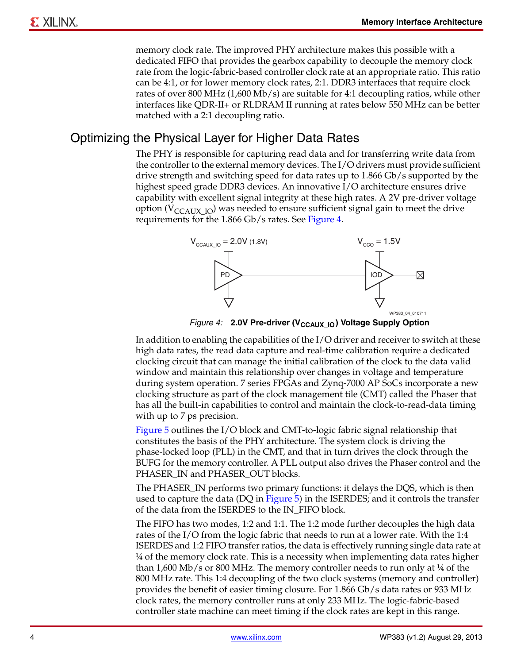memory clock rate. The improved PHY architecture makes this possible with a dedicated FIFO that provides the gearbox capability to decouple the memory clock rate from the logic-fabric-based controller clock rate at an appropriate ratio. This ratio can be 4:1, or for lower memory clock rates, 2:1. DDR3 interfaces that require clock rates of over 800 MHz (1,600 Mb/s) are suitable for 4:1 decoupling ratios, while other interfaces like QDR-II+ or RLDRAM II running at rates below 550 MHz can be better matched with a 2:1 decoupling ratio.

#### Optimizing the Physical Layer for Higher Data Rates

The PHY is responsible for capturing read data and for transferring write data from the controller to the external memory devices. The I/O drivers must provide sufficient drive strength and switching speed for data rates up to 1.866 Gb/s supported by the highest speed grade DDR3 devices. An innovative I/O architecture ensures drive capability with excellent signal integrity at these high rates. A 2V pre-driver voltage option ( $V_{\text{CCAUX IO}}$ ) was needed to ensure sufficient signal gain to meet the drive requirements for the 1.866 Gb/s rates. See [Figure 4](#page-3-0).

<span id="page-3-0"></span>

*Figure 4:* **2.0V Pre-driver (V<sub>CCAUX\_IO</sub>) Voltage Supply Option** 

In addition to enabling the capabilities of the I/O driver and receiver to switch at these high data rates, the read data capture and real-time calibration require a dedicated clocking circuit that can manage the initial calibration of the clock to the data valid window and maintain this relationship over changes in voltage and temperature during system operation. 7 series FPGAs and Zynq-7000 AP SoCs incorporate a new clocking structure as part of the clock management tile (CMT) called the Phaser that has all the built-in capabilities to control and maintain the clock-to-read-data timing with up to 7 ps precision.

[Figure 5](#page-4-0) outlines the I/O block and CMT-to-logic fabric signal relationship that constitutes the basis of the PHY architecture. The system clock is driving the phase-locked loop (PLL) in the CMT, and that in turn drives the clock through the BUFG for the memory controller. A PLL output also drives the Phaser control and the PHASER\_IN and PHASER\_OUT blocks.

The PHASER\_IN performs two primary functions: it delays the DQS, which is then used to capture the data (DQ in [Figure 5](#page-4-0)) in the ISERDES; and it controls the transfer of the data from the ISERDES to the IN\_FIFO block.

The FIFO has two modes, 1:2 and 1:1. The 1:2 mode further decouples the high data rates of the I/O from the logic fabric that needs to run at a lower rate. With the 1:4 ISERDES and 1:2 FIFO transfer ratios, the data is effectively running single data rate at ¼ of the memory clock rate. This is a necessity when implementing data rates higher than  $1,600$  Mb/s or 800 MHz. The memory controller needs to run only at  $\frac{1}{4}$  of the 800 MHz rate. This 1:4 decoupling of the two clock systems (memory and controller) provides the benefit of easier timing closure. For 1.866 Gb/s data rates or 933 MHz clock rates, the memory controller runs at only 233 MHz. The logic-fabric-based controller state machine can meet timing if the clock rates are kept in this range.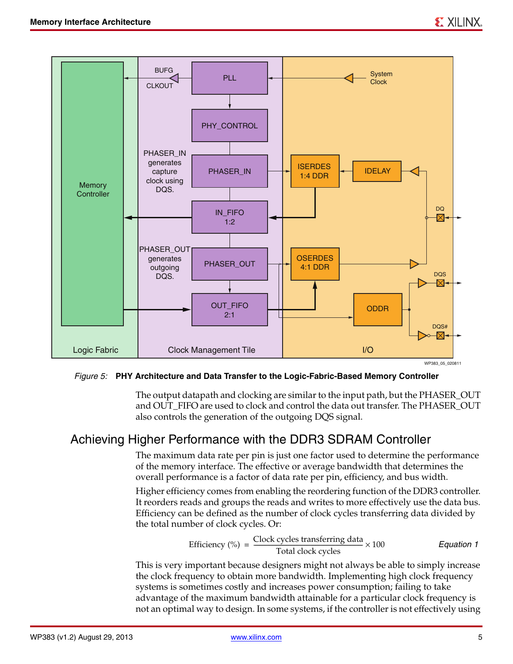<span id="page-4-0"></span>

#### *Figure 5:* **PHY Architecture and Data Transfer to the Logic-Fabric-Based Memory Controller**

The output datapath and clocking are similar to the input path, but the PHASER\_OUT and OUT\_FIFO are used to clock and control the data out transfer. The PHASER\_OUT also controls the generation of the outgoing DQS signal.

#### Achieving Higher Performance with the DDR3 SDRAM Controller

The maximum data rate per pin is just one factor used to determine the performance of the memory interface. The effective or average bandwidth that determines the overall performance is a factor of data rate per pin, efficiency, and bus width.

Higher efficiency comes from enabling the reordering function of the DDR3 controller. It reorders reads and groups the reads and writes to more effectively use the data bus. Efficiency can be defined as the number of clock cycles transferring data divided by the total number of clock cycles. Or:

Efficiency (%) = 
$$
\frac{\text{Clock cycles transferring data}}{\text{Total clock cycles}} \times 100
$$
 *Equation 1*

This is very important because designers might not always be able to simply increase the clock frequency to obtain more bandwidth. Implementing high clock frequency systems is sometimes costly and increases power consumption; failing to take advantage of the maximum bandwidth attainable for a particular clock frequency is not an optimal way to design. In some systems, if the controller is not effectively using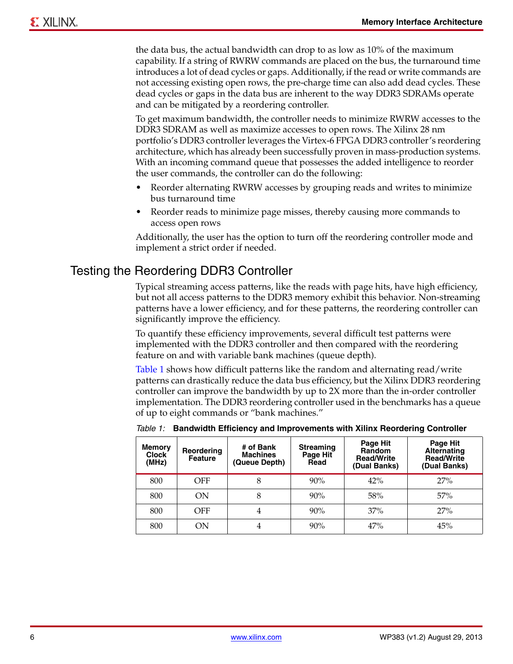the data bus, the actual bandwidth can drop to as low as 10% of the maximum capability. If a string of RWRW commands are placed on the bus, the turnaround time introduces a lot of dead cycles or gaps. Additionally, if the read or write commands are not accessing existing open rows, the pre-charge time can also add dead cycles. These dead cycles or gaps in the data bus are inherent to the way DDR3 SDRAMs operate and can be mitigated by a reordering controller.

To get maximum bandwidth, the controller needs to minimize RWRW accesses to the DDR3 SDRAM as well as maximize accesses to open rows. The Xilinx 28 nm portfolio's DDR3 controller leverages the Virtex-6 FPGA DDR3 controller's reordering architecture, which has already been successfully proven in mass-production systems. With an incoming command queue that possesses the added intelligence to reorder the user commands, the controller can do the following:

- Reorder alternating RWRW accesses by grouping reads and writes to minimize bus turnaround time
- Reorder reads to minimize page misses, thereby causing more commands to access open rows

Additionally, the user has the option to turn off the reordering controller mode and implement a strict order if needed.

#### <span id="page-5-1"></span>Testing the Reordering DDR3 Controller

Typical streaming access patterns, like the reads with page hits, have high efficiency, but not all access patterns to the DDR3 memory exhibit this behavior. Non-streaming patterns have a lower efficiency, and for these patterns, the reordering controller can significantly improve the efficiency.

To quantify these efficiency improvements, several difficult test patterns were implemented with the DDR3 controller and then compared with the reordering feature on and with variable bank machines (queue depth).

[Table 1](#page-5-0) shows how difficult patterns like the random and alternating read/write patterns can drastically reduce the data bus efficiency, but the Xilinx DDR3 reordering controller can improve the bandwidth by up to 2X more than the in-order controller implementation. The DDR3 reordering controller used in the benchmarks has a queue of up to eight commands or "bank machines."

| <b>Memory</b><br><b>Clock</b><br>(MHz) | Reordering<br><b>Feature</b> | # of Bank<br><b>Machines</b><br>(Queue Depth) | <b>Streaming</b><br>Page Hit<br>Read | Page Hit<br><b>Random</b><br><b>Read/Write</b><br>(Dual Banks) | Page Hit<br><b>Alternating</b><br><b>Read/Write</b><br>(Dual Banks) |
|----------------------------------------|------------------------------|-----------------------------------------------|--------------------------------------|----------------------------------------------------------------|---------------------------------------------------------------------|
| 800                                    | <b>OFF</b>                   | 8                                             | 90%                                  | 42%                                                            | 27%                                                                 |
| 800                                    | ON                           | 8                                             | 90%                                  | 58%                                                            | 57%                                                                 |
| 800                                    | OFF                          | 4                                             | 90%                                  | 37%                                                            | 27%                                                                 |
| 800                                    | ON                           | 4                                             | 90%                                  | 47%                                                            | 45%                                                                 |

<span id="page-5-0"></span>*Table 1:* **Bandwidth Efficiency and Improvements with Xilinx Reordering Controller**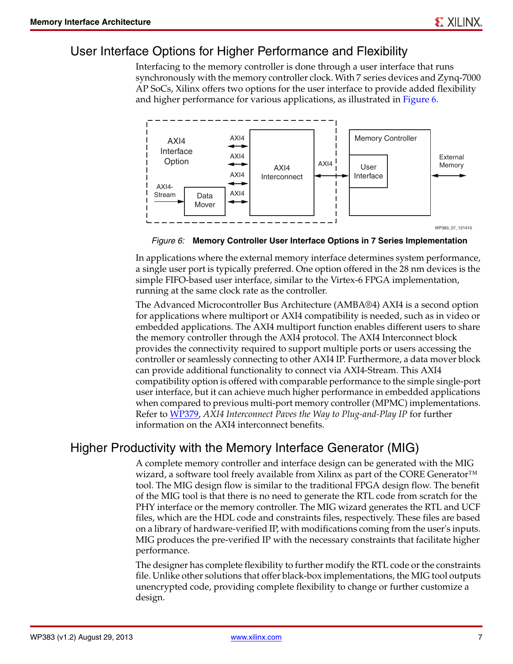#### User Interface Options for Higher Performance and Flexibility

Interfacing to the memory controller is done through a user interface that runs synchronously with the memory controller clock. With 7 series devices and Zynq-7000 AP SoCs, Xilinx offers two options for the user interface to provide added flexibility and higher performance for various applications, as illustrated in [Figure 6.](#page-6-0)

<span id="page-6-0"></span>

WP383\_07\_121410

*Figure 6:* **Memory Controller User Interface Options in 7 Series Implementation**

In applications where the external memory interface determines system performance, a single user port is typically preferred. One option offered in the 28 nm devices is the simple FIFO-based user interface, similar to the Virtex-6 FPGA implementation, running at the same clock rate as the controller.

The Advanced Microcontroller Bus Architecture (AMBA®4) AXI4 is a second option for applications where multiport or AXI4 compatibility is needed, such as in video or embedded applications. The AXI4 multiport function enables different users to share the memory controller through the AXI4 protocol. The AXI4 Interconnect block provides the connectivity required to support multiple ports or users accessing the controller or seamlessly connecting to other AXI4 IP. Furthermore, a data mover block can provide additional functionality to connect via AXI4-Stream. This AXI4 compatibility option is offered with comparable performance to the simple single-port user interface, but it can achieve much higher performance in embedded applications when compared to previous multi-port memory controller (MPMC) implementations. Refer to [WP379](http://www.xilinx.com/support/documentation/white_papers/wp379_AXI4_Plug_and_Play_IP.pdf), *AXI4 Interconnect Paves the Way to Plug-and-Play IP* for further information on the AXI4 interconnect benefits.

#### Higher Productivity with the Memory Interface Generator (MIG)

A complete memory controller and interface design can be generated with the MIG wizard, a software tool freely available from Xilinx as part of the CORE Generator™ tool. The MIG design flow is similar to the traditional FPGA design flow. The benefit of the MIG tool is that there is no need to generate the RTL code from scratch for the PHY interface or the memory controller. The MIG wizard generates the RTL and UCF files, which are the HDL code and constraints files, respectively. These files are based on a library of hardware-verified IP, with modifications coming from the user's inputs. MIG produces the pre-verified IP with the necessary constraints that facilitate higher performance.

The designer has complete flexibility to further modify the RTL code or the constraints file. Unlike other solutions that offer black-box implementations, the MIG tool outputs unencrypted code, providing complete flexibility to change or further customize a design.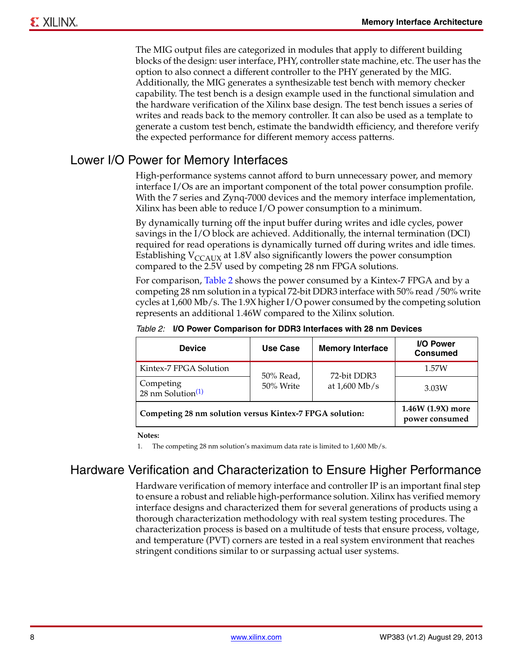The MIG output files are categorized in modules that apply to different building blocks of the design: user interface, PHY, controller state machine, etc. The user has the option to also connect a different controller to the PHY generated by the MIG. Additionally, the MIG generates a synthesizable test bench with memory checker capability. The test bench is a design example used in the functional simulation and the hardware verification of the Xilinx base design. The test bench issues a series of writes and reads back to the memory controller. It can also be used as a template to generate a custom test bench, estimate the bandwidth efficiency, and therefore verify the expected performance for different memory access patterns.

#### <span id="page-7-3"></span>Lower I/O Power for Memory Interfaces

High-performance systems cannot afford to burn unnecessary power, and memory interface I/Os are an important component of the total power consumption profile. With the 7 series and Zynq-7000 devices and the memory interface implementation, Xilinx has been able to reduce I/O power consumption to a minimum.

By dynamically turning off the input buffer during writes and idle cycles, power savings in the I/O block are achieved. Additionally, the internal termination (DCI) required for read operations is dynamically turned off during writes and idle times. Establishing  $V_{CCAIIX}$  at 1.8V also significantly lowers the power consumption compared to the 2.5V used by competing 28 nm FPGA solutions.

For comparison, [Table 2](#page-7-0) shows the power consumed by a Kintex-7 FPGA and by a competing 28 nm solution in a typical 72-bit DDR3 interface with 50% read /50% write cycles at 1,600 Mb/s. The 1.9X higher I/O power consumed by the competing solution represents an additional 1.46W compared to the Xilinx solution.

| <b>Device</b>                                           | Use Case                            | <b>Memory Interface</b> | I/O Power<br><b>Consumed</b> |
|---------------------------------------------------------|-------------------------------------|-------------------------|------------------------------|
| Kintex-7 FPGA Solution                                  | 50% Read,                           | 72-bit DDR3             | 1.57W                        |
| Competing<br>$28 \text{ nm}$ Solution <sup>(1)</sup>    | 50% Write                           | at $1,600$ Mb/s         | 3.03W                        |
| Competing 28 nm solution versus Kintex-7 FPGA solution: | 1.46W (1.9X) more<br>power consumed |                         |                              |

<span id="page-7-0"></span>*Table 2:* **I/O Power Comparison for DDR3 Interfaces with 28 nm Devices**

**Notes:** 

<span id="page-7-1"></span>1. The competing 28 nm solution's maximum data rate is limited to 1,600 Mb/s.

### <span id="page-7-2"></span>Hardware Verification and Characterization to Ensure Higher Performance

Hardware verification of memory interface and controller IP is an important final step to ensure a robust and reliable high-performance solution. Xilinx has verified memory interface designs and characterized them for several generations of products using a thorough characterization methodology with real system testing procedures. The characterization process is based on a multitude of tests that ensure process, voltage, and temperature (PVT) corners are tested in a real system environment that reaches stringent conditions similar to or surpassing actual user systems.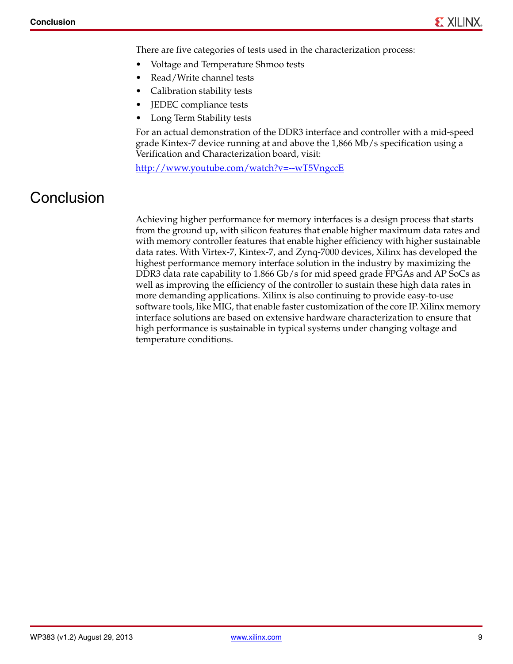There are five categories of tests used in the characterization process:

- Voltage and Temperature Shmoo tests
- Read/Write channel tests
- Calibration stability tests
- JEDEC compliance tests
- Long Term Stability tests

For an actual demonstration of the DDR3 interface and controller with a mid-speed grade Kintex-7 device running at and above the 1,866 Mb/s specification using a Verification and Characterization board, visit:

<http://www.youtube.com/watch?v=--wT5VngccE>

## **Conclusion**

Achieving higher performance for memory interfaces is a design process that starts from the ground up, with silicon features that enable higher maximum data rates and with memory controller features that enable higher efficiency with higher sustainable data rates. With Virtex-7, Kintex-7, and Zynq-7000 devices, Xilinx has developed the highest performance memory interface solution in the industry by maximizing the DDR3 data rate capability to 1.866 Gb/s for mid speed grade FPGAs and AP SoCs as well as improving the efficiency of the controller to sustain these high data rates in more demanding applications. Xilinx is also continuing to provide easy-to-use software tools, like MIG, that enable faster customization of the core IP. Xilinx memory interface solutions are based on extensive hardware characterization to ensure that high performance is sustainable in typical systems under changing voltage and temperature conditions.